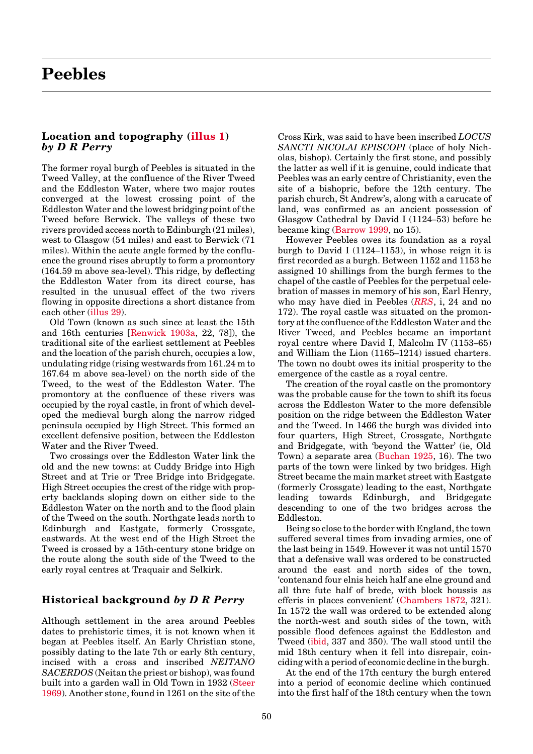# <span id="page-0-0"></span>**Peebles**

#### **Location and topography [\(illus 1\)](#page-1-0)** *by D R Perry*

The former royal burgh of Peebles is situated in the Tweed Valley, at the confluence of the River Tweed and the Eddleston Water, where two major routes converged at the lowest crossing point of the Eddleston Water and the lowest bridging point of the Tweed before Berwick. The valleys of these two rivers provided access north to Edinburgh (21 miles), west to Glasgow (54 miles) and east to Berwick (71 miles). Within the acute angle formed by the confluence the ground rises abruptly to form a promontory (164.59 m above sea-level). This ridge, by deflecting the Eddleston Water from its direct course, has resulted in the unusual effect of the two rivers flowing in opposite directions a short distance from each othe[r \(illus 29\).](#page-1-0)

Old Town (known as such since at least the 15th and 16th centuries [\[Renwick 1903a,](#page-2-0) 22, 78]), the traditional site of the earliest settlement at Peebles and the location of the parish church, occupies a low, undulating ridge (rising westwards from 161.24 m to 167.64 m above sea-level) on the north side of the Tweed, to the west of the Eddleston Water. The promontory at the confluence of these rivers was occupied by the royal castle, in front of which developed the medieval burgh along the narrow ridged peninsula occupied by High Street. This formed an excellent defensive position, between the Eddleston Water and the River Tweed.

Two crossings over the Eddleston Water link the old and the new towns: at Cuddy Bridge into High Street and at Trie or Tree Bridge into Bridgegate. High Street occupies the crest of the ridge with property backlands sloping down on either side to the Eddleston Water on the north and to the flood plain of the Tweed on the south. Northgate leads north to Edinburgh and Eastgate, formerly Crossgate, eastwards. At the west end of the High Street the Tweed is crossed by a 15th-century stone bridge on the route along the south side of the Tweed to the early royal centres at Traquair and Selkirk.

# **Historical background** *by D R Perry*

Although settlement in the area around Peebles dates to prehistoric times, it is not known when it began at Peebles itself. An Early Christian stone, possibly dating to the late 7th or early 8th century, incised with a cross and inscribed *NEITANO SACERDOS* (Neitan the priest or bishop), was found built into a garden wall in Old Town in 193[2 \(Steer](#page-2-0) [1969\). A](#page-2-0)nother stone, found in 1261 on the site of the Cross Kirk, was said to have been inscribed *LOCUS SANCTI NICOLAI EPISCOPI* (place of holy Nicholas, bishop). Certainly the first stone, and possibly the latter as well if it is genuine, could indicate that Peebles was an early centre of Christianity, even the site of a bishopric, before the 12th century. The parish church, St Andrew's, along with a carucate of land, was confirmed as an ancient possession of Glasgow Cathedral by David I (1124–53) before he became king (Barrow 1999, no 15).

However Peebles owes its foundation as a royal burgh to David I (1124–1153), in whose reign it is first recorded as a burgh. Between 1152 and 1153 he assigned 10 shillings from the burgh fermes to the chapel of the castle of Peebles for the perpetual celebration of masses in memory of his son, Earl Henry, who may have died in Peebles (*[RRS](#page-2-0)*, i, 24 and no 172). The royal castle was situated on the promontory at the confluence of the Eddleston Water and the River Tweed, and Peebles became an important royal centre where David I, Malcolm IV (1153–65) and William the Lion (1165–1214) issued charters. The town no doubt owes its initial prosperity to the emergence of the castle as a royal centre.

The creation of the royal castle on the promontory was the probable cause for the town to shift its focus across the Eddleston Water to the more defensible position on the ridge between the Eddleston Water and the Tweed. In 1466 the burgh was divided into four quarters, High Street, Crossgate, Northgate and Bridgegate, with 'beyond the Watter' (ie, Old Town) a separate area (Buchan 1925, 16). The two parts of the town were linked by two bridges. High Street became the main market street with Eastgate (formerly Crossgate) leading to the east, Northgate leading towards Edinburgh, and Bridgegate descending to one of the two bridges across the Eddleston.

Being so close to the border with England, the town suffered several times from invading armies, one of the last being in 1549. However it was not until 1570 that a defensive wall was ordered to be constructed around the east and north sides of the town, 'contenand four elnis heich half ane elne ground and all thre fute half of brede, with block houssis as efferis in places convenient' (Chambers 1872, 321). In 1572 the wall was ordered to be extended along the north-west and south sides of the town, with possible flood defences against the Eddleston and Tweed (ibid, 337 and 350). The wall stood until the mid 18th century when it fell into disrepair, coinciding with a period of economic decline in the burgh.

At the end of the 17th century the burgh entered into a period of economic decline which continued into the first half of the 18th century when the town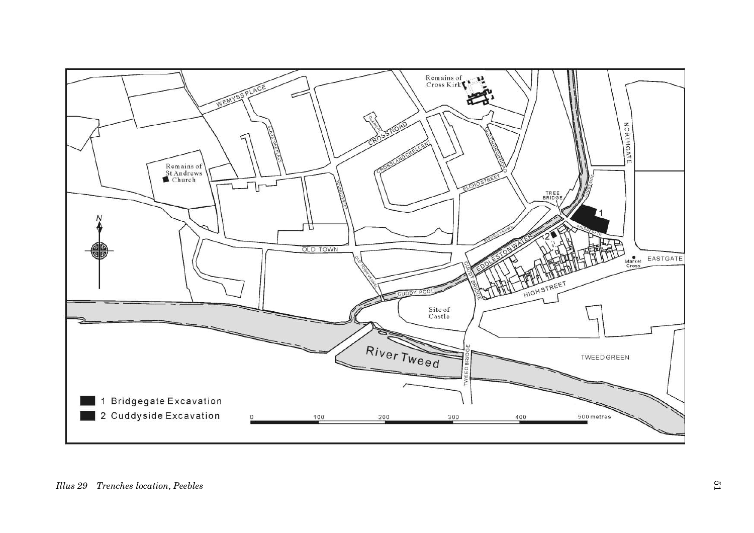<span id="page-1-0"></span>